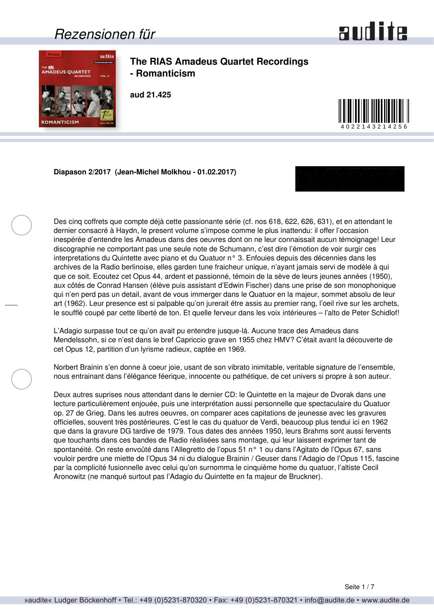### *Rezensionen für*



<span id="page-0-0"></span>

**The RIAS Amadeus Quartet Recordings - Romanticism**

**aud 21.425**



**Diapason 2/2017 (Jean-Michel Molkhou - 01.02.2017)**



Des cinq coffrets que compte déjà cette passionante série (cf. nos 618, 622, 626, 631), et en attendant le dernier consacré à Haydn, le present volume s'impose comme le plus inattendu: il offer l'occasion inespérée d'entendre les Amadeus dans des oeuvres dont on ne leur connaissait aucun témoignage! Leur discographie ne comportant pas une seule note de Schumann, c'est dire l'émotion de voir surgir ces interpretations du Quintette avec piano et du Quatuor n° 3. Enfouies depuis des décennies dans les archives de la Radio berlinoise, elles garden tune fraicheur unique, n'ayant jamais servi de modèle à qui que ce soit. Ecoutez cet Opus 44, ardent et passionné, témoin de la sève de leurs jeunes années (1950), aux côtés de Conrad Hansen (élève puis assistant d'Edwin Fischer) dans une prise de son monophonique qui n'en perd pas un detail, avant de vous immerger dans le Quatuor en la majeur, sommet absolu de leur art (1962). Leur presence est si palpable qu'on jurerait étre assis au premier rang, l'oeil rive sur les archets, le soufflé coupé par cette liberté de ton. Et quelle ferveur dans les voix intérieures – l'alto de Peter Schidlof!

L'Adagio surpasse tout ce qu'on avait pu entendre jusque-lá. Aucune trace des Amadeus dans Mendelssohn, si ce n'est dans le bref Capriccio grave en 1955 chez HMV? C'était avant la découverte de cet Opus 12, partition d'un lyrisme radieux, captée en 1969.

Norbert Brainin s'en donne à coeur joie, usant de son vibrato inimitable, veritable signature de l'ensemble, nous entrainant dans l'élégance féerique, innocente ou pathétique, de cet univers si propre à son auteur.

Deux autres suprises nous attendant dans le dernier CD: le Quintette en la majeur de Dvorak dans une lecture particulièrement enjouée, puis une interprétation aussi personnelle que spectaculaire du Quatuor op. 27 de Grieg. Dans les autres oeuvres, on comparer aces capitations de jeunesse avec les gravures officielles, souvent très postérieures. C'est le cas du quatuor de Verdi, beaucoup plus tendui ici en 1962 que dans la gravure DG tardive de 1979. Tous dates des années 1950, leurs Brahms sont aussi fervents que touchants dans ces bandes de Radio réalisées sans montage, qui leur laissent exprimer tant de spontanéité. On reste envoûté dans l'Allegretto de l'opus 51 n° 1 ou dans l'Agitato de l'Opus 67, sans vouloir perdre une miette de l'Opus 34 ni du dialogue Brainin / Geuser dans l'Adagio de l'Opus 115, fascine par la complicité fusionnelle avec celui qu'on surnomma le cinquième home du quatuor, l'altiste Cecil Aronowitz (ne manqué surtout pas l'Adagio du Quintette en fa majeur de Bruckner).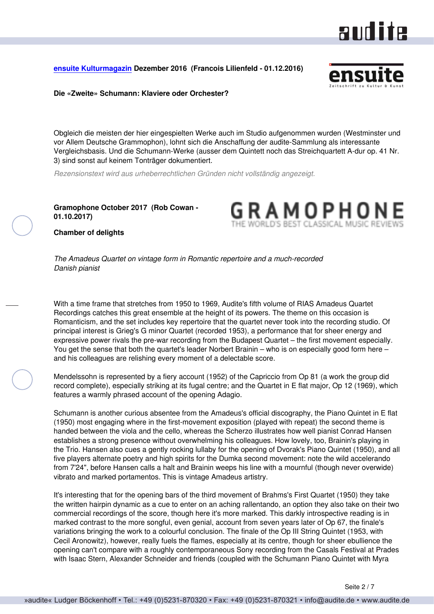### aud ite

#### <span id="page-1-0"></span>**[ensuite Kulturmagazin](http://www.ensuite.ch/) Dezember 2016 (Francois Lilienfeld - 01.12.2016)**



**Die «Zweite» Schumann: Klaviere oder Orchester?**

Obgleich die meisten der hier eingespielten Werke auch im Studio aufgenommen wurden (Westminster und vor Allem Deutsche Grammophon), lohnt sich die Anschaffung der audite-Sammlung als interessante Vergleichsbasis. Und die Schumann-Werke (ausser dem Quintett noch das Streichquartett A-dur op. 41 Nr. 3) sind sonst auf keinem Tonträger dokumentiert.

*Rezensionstext wird aus urheberrechtlichen Gründen nicht vollständig angezeigt.*

**Gramophone October 2017 (Rob Cowan - 01.10.2017)**

RAMOPHO

**Chamber of delights**

*The Amadeus Quartet on vintage form in Romantic repertoire and a much-recorded Danish pianist*

With a time frame that stretches from 1950 to 1969, Audite's fifth volume of RIAS Amadeus Quartet Recordings catches this great ensemble at the height of its powers. The theme on this occasion is Romanticism, and the set includes key repertoire that the quartet never took into the recording studio. Of principal interest is Grieg's G minor Quartet (recorded 1953), a performance that for sheer energy and expressive power rivals the pre-war recording from the Budapest Quartet – the first movement especially. You get the sense that both the quartet's leader Norbert Brainin – who is on especially good form here – and his colleagues are relishing every moment of a delectable score.

Mendelssohn is represented by a fiery account (1952) of the Capriccio from Op 81 (a work the group did record complete), especially striking at its fugal centre; and the Quartet in E flat major, Op 12 (1969), which features a warmly phrased account of the opening Adagio.

Schumann is another curious absentee from the Amadeus's official discography, the Piano Quintet in E flat (1950) most engaging where in the first-movement exposition (played with repeat) the second theme is handed between the viola and the cello, whereas the Scherzo illustrates how well pianist Conrad Hansen establishes a strong presence without overwhelming his colleagues. How lovely, too, Brainin's playing in the Trio. Hansen also cues a gently rocking lullaby for the opening of Dvorak's Piano Quintet (1950), and all five players alternate poetry and high spirits for the Dumka second movement: note the wild accelerando from 7'24", before Hansen calls a halt and Brainin weeps his line with a mournful (though never overwide) vibrato and marked portamentos. This is vintage Amadeus artistry.

It's interesting that for the opening bars of the third movement of Brahms's First Quartet (1950) they take the written hairpin dynamic as a cue to enter on an aching rallentando, an option they also take on their two commercial recordings of the score, though here it's more marked. This darkly introspective reading is in marked contrast to the more songful, even genial, account from seven years later of Op 67, the finale's variations bringing the work to a colourful conclusion. The finale of the Op III String Quintet (1953, with Cecil Aronowitz), however, really fuels the flames, especially at its centre, though for sheer ebullience the opening can't compare with a roughly contemporaneous Sony recording from the Casals Festival at Prades with Isaac Stern, Alexander Schneider and friends (coupled with the Schumann Piano Quintet with Myra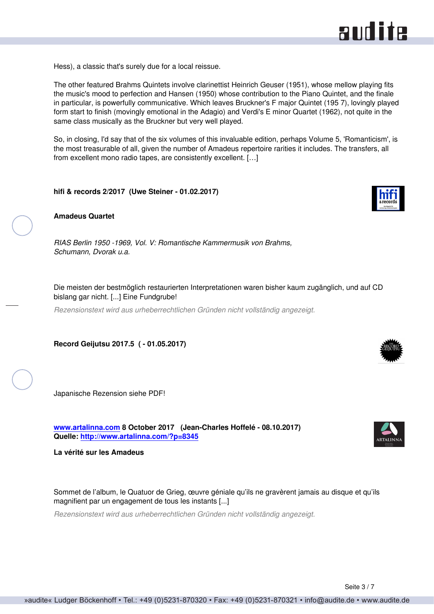<span id="page-2-0"></span>Hess), a classic that's surely due for a local reissue.

The other featured Brahms Quintets involve clarinettist Heinrich Geuser (1951), whose mellow playing fits the music's mood to perfection and Hansen (1950) whose contribution to the Piano Quintet, and the finale in particular, is powerfully communicative. Which leaves Bruckner's F major Quintet (195 7), lovingly played form start to finish (movingly emotional in the Adagio) and Verdi's E minor Quartet (1962), not quite in the same class musically as the Bruckner but very well played.

So, in closing, I'd say that of the six volumes of this invaluable edition, perhaps Volume 5, 'Romanticism', is the most treasurable of all, given the number of Amadeus repertoire rarities it includes. The transfers, all from excellent mono radio tapes, are consistently excellent. […]

**hifi & records 2/2017 (Uwe Steiner - 01.02.2017)**



*RIAS Berlin 1950 -1969, Vol. V: Romantische Kammermusik von Brahms, Schumann, Dvorak u.a.*

Die meisten der bestmöglich restaurierten Interpretationen waren bisher kaum zugänglich, und auf CD bislang gar nicht. [...] Eine Fundgrube!

*Rezensionstext wird aus urheberrechtlichen Gründen nicht vollständig angezeigt.*

**Record Geijutsu 2017.5 ( - 01.05.2017)**

Japanische Rezension siehe PDF!

**[www.artalinna.com](http://www.artalinna.com) 8 October 2017 (Jean-Charles Hoffelé - 08.10.2017) Quelle:<http://www.artalinna.com/?p=8345>**

**La vérité sur les Amadeus**

Sommet de l'album, le Quatuor de Grieg, œuvre géniale qu'ils ne gravèrent jamais au disque et qu'ils magnifient par un engagement de tous les instants [...]

*Rezensionstext wird aus urheberrechtlichen Gründen nicht vollständig angezeigt.*



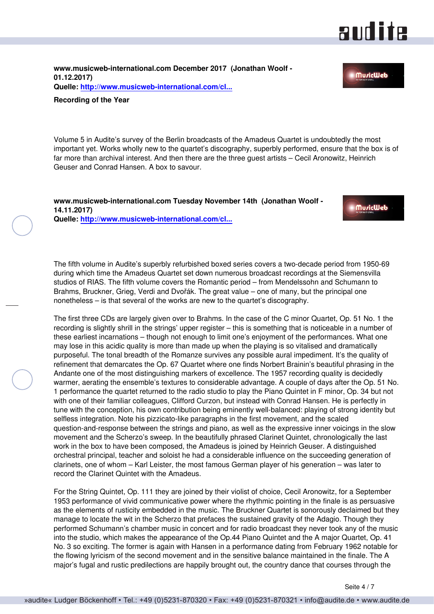### and ite

**MuricWeb** 

<span id="page-3-0"></span>**www.musicweb-international.com December 2017 (Jonathan Woolf - 01.12.2017) Quelle: [http://www.musicweb-international.com/cl...](http://www.musicweb-international.com/classrev/2017/ROTY_2017.pdf)**

#### **Recording of the Year**

Volume 5 in Audite's survey of the Berlin broadcasts of the Amadeus Quartet is undoubtedly the most important yet. Works wholly new to the quartet's discography, superbly performed, ensure that the box is of far more than archival interest. And then there are the three guest artists – Cecil Aronowitz, Heinrich Geuser and Conrad Hansen. A box to savour.

**www.musicweb-international.com Tuesday November 14th (Jonathan Woolf - 14.11.2017) Quelle: [http://www.musicweb-international.com/cl...](http://www.musicweb-international.com/classrev/2017/Nov/Amadeus_v5_21425.htm)**



The fifth volume in Audite's superbly refurbished boxed series covers a two-decade period from 1950-69 during which time the Amadeus Quartet set down numerous broadcast recordings at the Siemensvilla studios of RIAS. The fifth volume covers the Romantic period – from Mendelssohn and Schumann to Brahms, Bruckner, Grieg, Verdi and Dvořák. The great value – one of many, but the principal one nonetheless – is that several of the works are new to the quartet's discography.

The first three CDs are largely given over to Brahms. In the case of the C minor Quartet, Op. 51 No. 1 the recording is slightly shrill in the strings' upper register – this is something that is noticeable in a number of these earliest incarnations – though not enough to limit one's enjoyment of the performances. What one may lose in this acidic quality is more than made up when the playing is so vitalised and dramatically purposeful. The tonal breadth of the Romanze survives any possible aural impediment. It's the quality of refinement that demarcates the Op. 67 Quartet where one finds Norbert Brainin's beautiful phrasing in the Andante one of the most distinguishing markers of excellence. The 1957 recording quality is decidedly warmer, aerating the ensemble's textures to considerable advantage. A couple of days after the Op. 51 No. 1 performance the quartet returned to the radio studio to play the Piano Quintet in F minor, Op. 34 but not with one of their familiar colleagues, Clifford Curzon, but instead with Conrad Hansen. He is perfectly in tune with the conception, his own contribution being eminently well-balanced: playing of strong identity but selfless integration. Note his pizzicato-like paragraphs in the first movement, and the scaled question-and-response between the strings and piano, as well as the expressive inner voicings in the slow movement and the Scherzo's sweep. In the beautifully phrased Clarinet Quintet, chronologically the last work in the box to have been composed, the Amadeus is joined by Heinrich Geuser. A distinguished orchestral principal, teacher and soloist he had a considerable influence on the succeeding generation of clarinets, one of whom – Karl Leister, the most famous German player of his generation – was later to record the Clarinet Quintet with the Amadeus.

For the String Quintet, Op. 111 they are joined by their violist of choice, Cecil Aronowitz, for a September 1953 performance of vivid communicative power where the rhythmic pointing in the finale is as persuasive as the elements of rusticity embedded in the music. The Bruckner Quartet is sonorously declaimed but they manage to locate the wit in the Scherzo that prefaces the sustained gravity of the Adagio. Though they performed Schumann's chamber music in concert and for radio broadcast they never took any of the music into the studio, which makes the appearance of the Op.44 Piano Quintet and the A major Quartet, Op. 41 No. 3 so exciting. The former is again with Hansen in a performance dating from February 1962 notable for the flowing lyricism of the second movement and in the sensitive balance maintained in the finale. The A major's fugal and rustic predilections are happily brought out, the country dance that courses through the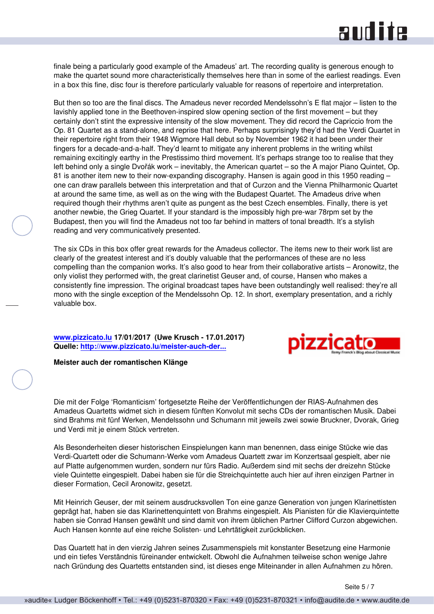## **RUD ite**

<span id="page-4-0"></span>finale being a particularly good example of the Amadeus' art. The recording quality is generous enough to make the quartet sound more characteristically themselves here than in some of the earliest readings. Even in a box this fine, disc four is therefore particularly valuable for reasons of repertoire and interpretation.

But then so too are the final discs. The Amadeus never recorded Mendelssohn's E flat major - listen to the lavishly applied tone in the Beethoven-inspired slow opening section of the first movement – but they certainly don't stint the expressive intensity of the slow movement. They did record the Capriccio from the Op. 81 Quartet as a stand-alone, and reprise that here. Perhaps surprisingly they'd had the Verdi Quartet in their repertoire right from their 1948 Wigmore Hall debut so by November 1962 it had been under their fingers for a decade-and-a-half. They'd learnt to mitigate any inherent problems in the writing whilst remaining excitingly earthy in the Prestissimo third movement. It's perhaps strange too to realise that they left behind only a single Dvořák work – inevitably, the American quartet – so the A major Piano Quintet, Op. 81 is another item new to their now-expanding discography. Hansen is again good in this 1950 reading – one can draw parallels between this interpretation and that of Curzon and the Vienna Philharmonic Quartet at around the same time, as well as on the wing with the Budapest Quartet. The Amadeus drive when required though their rhythms aren't quite as pungent as the best Czech ensembles. Finally, there is yet another newbie, the Grieg Quartet. If your standard is the impossibly high pre-war 78rpm set by the Budapest, then you will find the Amadeus not too far behind in matters of tonal breadth. It's a stylish reading and very communicatively presented.

The six CDs in this box offer great rewards for the Amadeus collector. The items new to their work list are clearly of the greatest interest and it's doubly valuable that the performances of these are no less compelling than the companion works. It's also good to hear from their collaborative artists – Aronowitz, the only violist they performed with, the great clarinetist Geuser and, of course, Hansen who makes a consistently fine impression. The original broadcast tapes have been outstandingly well realised: they're all mono with the single exception of the Mendelssohn Op. 12. In short, exemplary presentation, and a richly valuable box.

**[www.pizzicato.lu](http://www.pizzicato.lu) 17/01/2017 (Uwe Krusch - 17.01.2017) Quelle: [http://www.pizzicato.lu/meister-auch-der...](http://www.pizzicato.lu/meister-auch-der-romantischen-klange/)**



#### **Meister auch der romantischen Klänge**

Die mit der Folge 'Romanticism' fortgesetzte Reihe der Veröffentlichungen der RIAS-Aufnahmen des Amadeus Quartetts widmet sich in diesem fünften Konvolut mit sechs CDs der romantischen Musik. Dabei sind Brahms mit fünf Werken, Mendelssohn und Schumann mit jeweils zwei sowie Bruckner, Dvorak, Grieg und Verdi mit je einem Stück vertreten.

Als Besonderheiten dieser historischen Einspielungen kann man benennen, dass einige Stücke wie das Verdi-Quartett oder die Schumann-Werke vom Amadeus Quartett zwar im Konzertsaal gespielt, aber nie auf Platte aufgenommen wurden, sondern nur fürs Radio. Außerdem sind mit sechs der dreizehn Stücke viele Quintette eingespielt. Dabei haben sie für die Streichquintette auch hier auf ihren einzigen Partner in dieser Formation, Cecil Aronowitz, gesetzt.

Mit Heinrich Geuser, der mit seinem ausdrucksvollen Ton eine ganze Generation von jungen Klarinettisten geprägt hat, haben sie das Klarinettenquintett von Brahms eingespielt. Als Pianisten für die Klavierquintette haben sie Conrad Hansen gewählt und sind damit von ihrem üblichen Partner Clifford Curzon abgewichen. Auch Hansen konnte auf eine reiche Solisten- und Lehrtätigkeit zurückblicken.

Das Quartett hat in den vierzig Jahren seines Zusammenspiels mit konstanter Besetzung eine Harmonie und ein tiefes Verständnis füreinander entwickelt. Obwohl die Aufnahmen teilweise schon wenige Jahre nach Gründung des Quartetts entstanden sind, ist dieses enge Miteinander in allen Aufnahmen zu hören.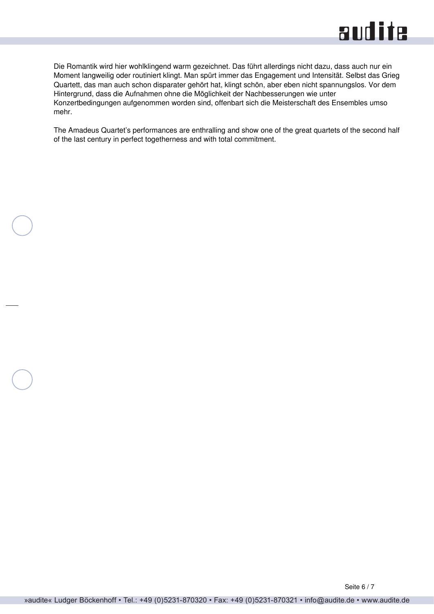

Die Romantik wird hier wohlklingend warm gezeichnet. Das führt allerdings nicht dazu, dass auch nur ein Moment langweilig oder routiniert klingt. Man spürt immer das Engagement und Intensität. Selbst das Grieg Quartett, das man auch schon disparater gehört hat, klingt schön, aber eben nicht spannungslos. Vor dem Hintergrund, dass die Aufnahmen ohne die Möglichkeit der Nachbesserungen wie unter Konzertbedingungen aufgenommen worden sind, offenbart sich die Meisterschaft des Ensembles umso mehr.

The Amadeus Quartet's performances are enthralling and show one of the great quartets of the second half of the last century in perfect togetherness and with total commitment.